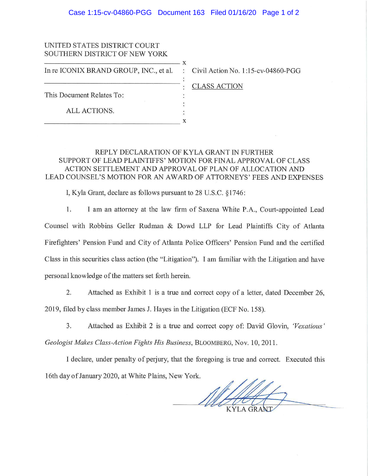## Case 1:15-cv-04860-PGG Document 163 Filed 01/16/20 Page 1 of 2

## UNITED STATES DISTRICT COURT SOUTHERN DISTRICT OF NEW YORK SOUTHERN DISTRICT OF NEW YORK<br>
The ICONIX BRAND GROUP INC et al

In re ICONIX BRAND GROUP, INC., et al. This Document Relates To: ALL ACTIONS. ALL ACTIONS.  $\vdots$  x

Civil Action No. 1:15-cv-04860-PGG

CLASS ACTION

## REPLY DECLARATION OF KYLA GRANT IN FURTHER SUPPORT OF LEAD PLAINTIFFS' MOTION FOR FINAL APPROVAL OF CLASS ACTION SETTLEMENT AND APPROVAL OF PLAN OF ALLOCATION AND LEAD COUNSEL'S MOTION FOR AN AW ARD OF ATTORNEYS' FEES AND EXPENSES

I, Kyla Grant, declare as follows pursuant to 28 U.S.C. §1746:

I. I am an attorney at the law firm of Saxena White P.A., Court-appointed Lead

Counsel with Robbins Geller Rudman & Dowd LLP for Lead Plaintiffs City of Atlanta Firefighters' Pension Fund and City of Atlanta Police Officers' Pension Fund and the certified Class in this securities class action (the "Litigation"). I am familiar with the Litigation and have

personal knowledge of the matters set forth herein.

2. Attached as Exhibit I is a true and correct copy of a letter, dated December 26,

2019, filed by class member James J. Hayes in the Litigation (ECF No. 158).

3. Attached as Exhibit 2 is a true and correct copy of: David Glovin, *'Vexatious'* 

*Geologist Makes Class-Action Fights His Business,* BLOOMBERG, Nov. 10, 2011.

I declare, under penalty of perjury, that the foregoing is true and correct. Executed this 16th day of January 2020, at White Plains, New York.

foregoing is true and correct. Executed this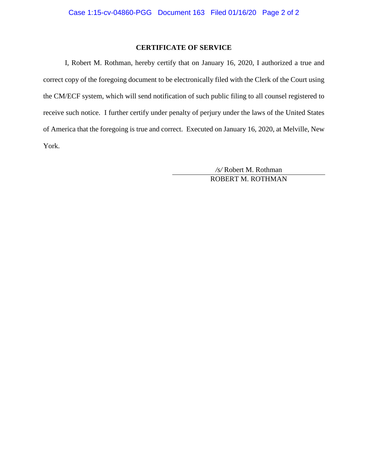## **CERTIFICATE OF SERVICE**

I, Robert M. Rothman, hereby certify that on January 16, 2020, I authorized a true and correct copy of the foregoing document to be electronically filed with the Clerk of the Court using the CM/ECF system, which will send notification of such public filing to all counsel registered to receive such notice. I further certify under penalty of perjury under the laws of the United States of America that the foregoing is true and correct. Executed on January 16, 2020, at Melville, New York.

> */s/* Robert M. Rothman ROBERT M. ROTHMAN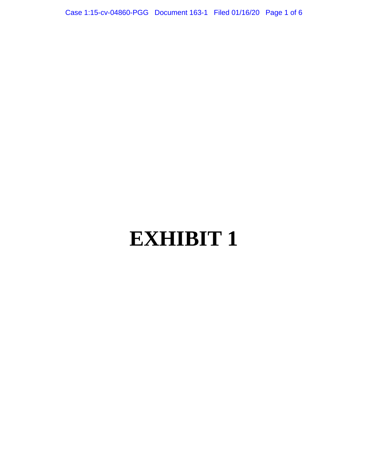Case 1:15-cv-04860-PGG Document 163-1 Filed 01/16/20 Page 1 of 6

# **EXHIBIT 1**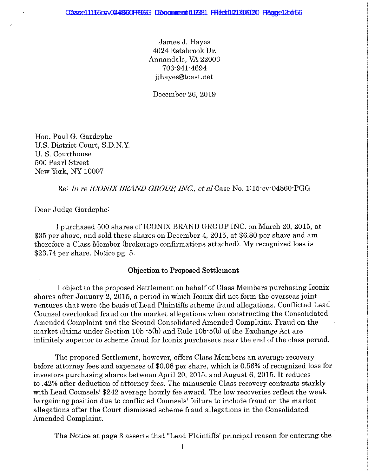James J. Hayes 4024 Estabrook Dr. Annandale, VA 22003 703-941-4694 jihayes@toast.net

December 26, 2019

Hon. Paul G. Gardephe U.S. District Court, S.D.N.Y. U.S. Courthouse 500 Pearl Street New York, NY 10007

Re: In re ICONIX BRAND GROUP, INC., et al Case No. 1:15 cv 04860 PGG

Dear Judge Gardephe:

I purchased 500 shares of ICONIX BRAND GROUP INC. on March 20, 2015, at \$35 per share, and sold these shares on December 4, 2015, at \$6.80 per share and am therefore a Class Member (brokerage confirmations attached). My recognized loss is \$23.74 per share. Notice pg.  $5$ .

#### **Objection to Proposed Settlement**

I object to the proposed Settlement on behalf of Class Members purchasing Iconix shares after January 2, 2015, a period in which Iconix did not form the overseas joint ventures that were the basis of Lead Plaintiffs scheme fraud allegations. Conflicted Lead Counsel overlooked fraud on the market allegations when constructing the Consolidated Amended Complaint and the Second Consolidated Amended Complaint. Fraud on the market claims under Section 10b -5(b) and Rule 10b -5(b) of the Exchange Act are infinitely superior to scheme fraud for Iconix purchasers near the end of the class period.

The proposed Settlement, however, offers Class Members an average recovery before attorney fees and expenses of \$0.08 per share, which is 0.56% of recognized loss for investors purchasing shares between April 20, 2015, and August 6, 2015. It reduces to .42% after deduction of attorney fees. The minuscule Class recovery contrasts starkly with Lead Counsels' \$242 average hourly fee award. The low recoveries reflect the weak bargaining position due to conflicted Counsels' failure to include fraud on the market allegations after the Court dismissed scheme fraud allegations in the Consolidated Amended Complaint.

The Notice at page 3 asserts that "Lead Plaintiffs' principal reason for entering the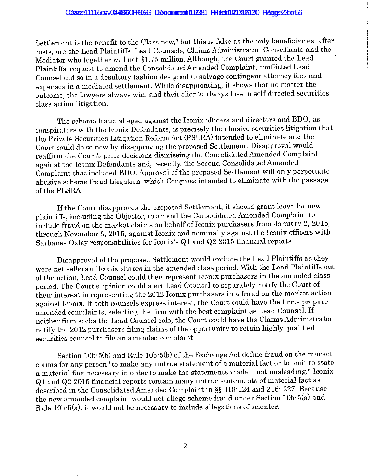Settlement is the benefit to the Class now," but this is false as the only beneficiaries, after costs, are the Lead Plaintiffs, Lead Counsels, Claims Administrator, Consultants and the Mediator who together will net \$1.75 million. Although, the Court granted the Lead Plaintiffs' request to amend the Consolidated Amended Complaint, conflicted Lead Counsel did so in a desultory fashion designed to salvage contingent attorney fees and expenses in a mediated settlement. While disappointing, it shows that no matter the outcome, the lawyers always win, and their clients always lose in self-directed securities class action litigation.

The scheme fraud alleged against the Iconix officers and directors and BDO, as conspirators with the Iconix Defendants, is precisely the abusive securities litigation that the Private Securities Litigation Reform Act (PSLRA) intended to eliminate and the Court could do so now by disapproving the proposed Settlement. Disapproval would reaffirm the Court's prior decisions dismissing the Consolidated Amended Complaint against the Iconix Defendants and, recently, the Second Consolidated Amended Complaint that included BDO. Approval of the proposed Settlement will only perpetuate abusive scheme fraud litigation, which Congress intended to eliminate with the passage of the PLSRA.

If the Court disapproves the proposed Settlement, it should grant leave for new plaintiffs, including the Objector, to amend the Consolidated Amended Complaint to include fraud on the market claims on behalf of Iconix purchasers from January 2, 2015, through November 5, 2015, against Iconix and nominally against the Iconix officers with Sarbanes Oxley responsibilities for Iconix's Q1 and Q2 2015 financial reports.

Disapproval of the proposed Settlement would exclude the Lead Plaintiffs as they were net sellers of Iconix shares in the amended class period. With the Lead Plaintiffs out of the action, Lead Counsel could then represent Iconix purchasers in the amended class period. The Court's opinion could alert Lead Counsel to separately notify the Court of their interest in representing the 2012 Iconix purchasers in a fraud on the market action against Iconix. If both counsels express interest, the Court could have the firms prepare amended complaints, selecting the firm with the best complaint as Lead Counsel. If neither firm seeks the Lead Counsel role, the Court could have the Claims Administrator notify the 2012 purchasers filing claims of the opportunity to retain highly qualified securities counsel to file an amended complaint.

Section 10b-5(b) and Rule 10b-5(b) of the Exchange Act define fraud on the market claims for any person "to make any untrue statement of a material fact or to omit to state a material fact necessary in order to make the statements made... not misleading." Iconix Q1 and Q2 2015 financial reports contain many untrue statements of material fact as described in the Consolidated Amended Complaint in §§ 118-124 and 216-227. Because the new amended complaint would not allege scheme fraud under Section 10b-5(a) and Rule 10b-5(a), it would not be necessary to include allegations of scienter.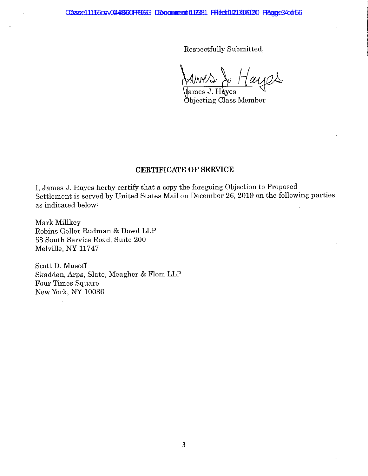Caase 11155 cove 44660 PP3 GG Docume entitl6581 Filited 121306120 Faage 34 of 56

Respectfully Submitted,

tayes MM

Öbjecting Class Member

### **CERTIFICATE OF SERVICE**

I, James J. Hayes herby certify that a copy the foregoing Objection to Proposed Settlement is served by United States Mail on December 26, 2019 on the following parties as indicated below.

Mark Millkey Robins Geller Rudman & Dowd LLP 58 South Service Road, Suite 200 Melville, NY 11747

Scott D. Musoff Skadden, Arps, Slate, Meagher & Flom LLP Four Times Square New York, NY 10036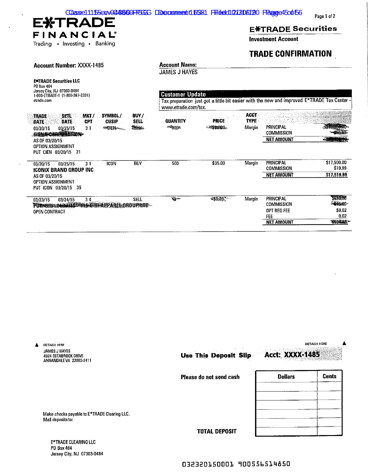| Caase11155cov0448609FCGGG DDocumeent16581 Ffiledd121306120 Faage45o6f56<br><b>EXTRADE</b>                                                                                                                                                                                                     |                                                                                                                                              |                           |                                      |                                                                                  | Page 1 of 2                                             |
|-----------------------------------------------------------------------------------------------------------------------------------------------------------------------------------------------------------------------------------------------------------------------------------------------|----------------------------------------------------------------------------------------------------------------------------------------------|---------------------------|--------------------------------------|----------------------------------------------------------------------------------|---------------------------------------------------------|
|                                                                                                                                                                                                                                                                                               |                                                                                                                                              |                           |                                      | <b>EXTRADE Securities</b>                                                        |                                                         |
| FINANCIAL®<br>Trading • Investing • Banking                                                                                                                                                                                                                                                   |                                                                                                                                              |                           |                                      | <b>Investment Account</b>                                                        |                                                         |
|                                                                                                                                                                                                                                                                                               |                                                                                                                                              |                           |                                      | <b>TRADE CONFIRMATION</b>                                                        |                                                         |
| <b>Account Number: XXXX-1485</b>                                                                                                                                                                                                                                                              | <b>Account Name:</b><br>JAMES J HAYES                                                                                                        |                           |                                      |                                                                                  |                                                         |
| <b>EXTRADE Securities LLC</b><br>PO Box 484<br>Jersey City, NJ 07303-0484<br>1-800-ETRADE-1 (1-800-387-2331)<br>etrade.com                                                                                                                                                                    | <b>Customer Update</b><br>Tax preparation just got a little bit easier with the new and improved E*TRADE Tax Center -<br>www.etrade.com/tax. |                           |                                      |                                                                                  |                                                         |
| SYMBOL/<br><b>BUY/</b><br><b>SETL</b><br>MKT/<br><b>TRADE</b><br><b>SELL</b><br><b>CUSIP</b><br><b>CPT</b><br><b>DATE</b><br><b>DATE</b><br><b>SHEEK</b><br><b>SIGNALLY</b><br>03/25/15<br>31<br>03/20/15<br>CIENT CORDINATION<br>AS OF 03/20/15<br>OPTION ASSIGNMENT<br>PUT CIEN 03/20/15 21 | <b>QUANTITY</b><br>$-48890$                                                                                                                  | <b>PRICE</b><br>-4324300- | <b>ACCT</b><br><b>TYPE</b><br>Margin | <b>PRINCIPAL</b><br><b>COMMISSION</b><br><b>NET AMOUNT</b>                       | енная.<br>-305020702                                    |
| <b>ICON</b><br><b>BUY</b><br>03/25/15<br>31<br>03/20/15<br><b>ICONIX BRAND GROUP INC</b><br>AS OF 03/20/15<br>OPTION ASSIGNMENT<br>PUT ICON 03/20/15 35                                                                                                                                       | 500                                                                                                                                          | \$35.00                   | Margin                               | <b>PRINCIPAL</b><br><b>COMMISSION</b><br><b>NET AMOUNT</b>                       | \$17,500.00<br>\$19.99<br>\$17,519.99                   |
| <b>SELL</b><br>03/24/15<br>34<br>03/23/15<br>PUT GINGO MARA TE STRAPPAREL OROUP NTD<br>OPEN CONTRACT                                                                                                                                                                                          | معتزية                                                                                                                                       | <b>36:20*</b>             | Margin                               | <b>PRINCIPAL</b><br><b>COMMISSION</b><br>OPT REG FEE<br>FEE<br><b>NET AMOUNT</b> | 5620.00<br><b>SECTION</b><br>\$0.02<br>0.02<br>\$604.00 |

| Α | <b>DETACH HERE</b>                                                |                                                 |                | <b>DETACH HERE</b> |
|---|-------------------------------------------------------------------|-------------------------------------------------|----------------|--------------------|
|   | JAMES J HAYES<br>4024 ESTABROOK DRIVE<br>ANNANDALEVA 22003-2411   | <b>Acct: XXXX-1485</b><br>Use This Deposit Slip |                |                    |
|   |                                                                   | Please do not send cash                         | <b>Dollars</b> | <b>Cents</b>       |
|   | Make checks payable to E*TRADE Clearing LLC.<br>Mail deposits to: |                                                 |                |                    |
|   | <b>E*TRADE CLEARING LLC</b>                                       | <b>TOTAL DEPOSIT</b>                            |                |                    |
|   |                                                                   |                                                 |                |                    |

PO Box 484<br>Jersey City, NJ 07303-0484

 $\overline{1}$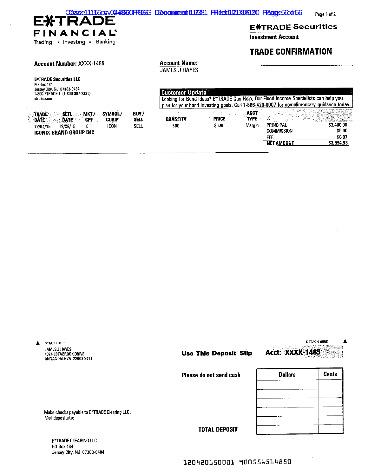| Caase11155cvv0448600PP366G DDccrumeerti16381 Filiedd101306120 FRageC560t56 |  |  |
|----------------------------------------------------------------------------|--|--|
|                                                                            |  |  |

Page 1 of 2

## **EXTRADE** FINANCIAL®

#### Trading • Investing • Banking

SETL MKT/

61

DATE CPT

## **E**\*TRADE Securities

**Investment Account** 

## **TRADE CONFIRMATION**

#### **Account Number: XXXX-1485**

## **Account Name:**

**JAMES J HAYES** 

BUY/

**SELL** 

**SELL** 

SYMBOL/

**CUSIP** 

**ICON** 

| <b>E</b> *TRADE Securities LLC  |
|---------------------------------|
| PO Box 484                      |
| Jersey City, NJ 07303-0484      |
| 1-800-ETRADE-1 (1-800-387-2331) |
| etrade.com                      |

**ICONIX BRAND GROUP INC** 

12/04/15 12/09/15

**TRADE** 

**DATE:** 

 $\bar{t}$ 

| <b>Customer Update</b>  |        |                     |                                                                                           |            |
|-------------------------|--------|---------------------|-------------------------------------------------------------------------------------------|------------|
|                         |        |                     | Looking for Bond Ideas? E*TRADE Can Help. Our Fixed Income Specialists can help you       |            |
|                         |        |                     | plan for your bond investing goals. Call 1-866-420-0007 for complimentary guidance today. |            |
| <b><i>DIIANTITY</i></b> | PRICE  | ACCT<br><b>TYPE</b> |                                                                                           |            |
| 500                     | \$6.80 | Marain              | <b>PRINCIPAL</b>                                                                          | \$3,400.00 |
|                         |        |                     | COMMISSION                                                                                | \$5.00     |
|                         |        |                     | FEE                                                                                       | \$0.07     |
|                         |        |                     | <b>NET AMOUNT</b>                                                                         | 83.394.93  |

**DETACH HERE** A **DETACH HERE** JAMES J HAYES **Acct: XXXX-1485 Use This Deposit Slip** 4024 ESTABROOK DRIVE ANNANDALEVA 22003-2411 **Cents Dollars** Please do not send cash Make checks payable to E\*TRADE Clearing LLC. Mail deposits to: **TOTAL DEPOSIT** 

E\*TRADE CLEARING LLC PO Box 484 Jersey City, NJ 07303-0484

### 120420150001 900556514850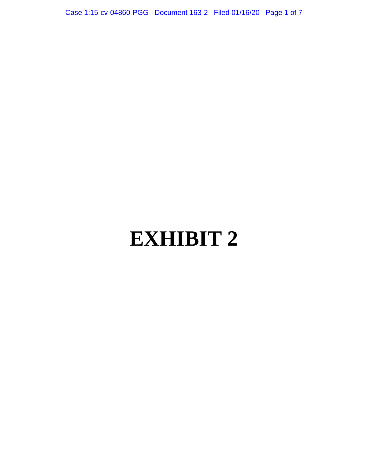Case 1:15-cv-04860-PGG Document 163-2 Filed 01/16/20 Page 1 of 7

# **EXHIBIT 2**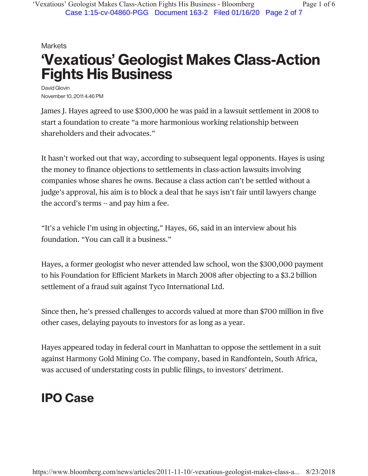## **Markets 'Vexatious' Geologist Makes Class-Action Fights His Business**

David Glovin November10, 2011 4:46 PM

James J. Hayes agreed to use \$300,000 he was paid in a lawsuit settlement in 2008 to start a foundation to create "a more harmonious working relationship between shareholders and their advocates."

It hasn't worked out that way, according to subsequent legal opponents. Hayes is using the money to finance objections to settlements in class-action lawsuits involving companies whose shares he owns. Because a class action can't be settled without a judge's approval, his aim is to block a deal that he says isn't fair until lawyers change the accord's terms -- and pay him a fee.

"It's a vehicle I'm using in objecting," Hayes, 66, said in an interview about his foundation. "You can call it a business."

Hayes, a former geologist who never attended law school, won the \$300,000 payment to his Foundation for Efficient Markets in March 2008 after objecting to a \$3.2 billion settlement of a fraud suit against Tyco International Ltd.

Since then, he's pressed challenges to accords valued at more than \$700 million in five other cases, delaying payouts to investors for as long as a year.

Hayes appeared today in federal court in Manhattan to oppose the settlement in a suit against Harmony Gold Mining Co. The company, based in Randfontein, South Africa, was accused of understating costs in public filings, to investors' detriment.

# **IPO Case**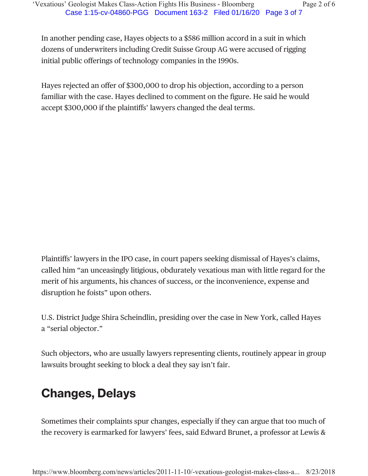In another pending case, Hayes objects to a \$586 million accord in a suit in which dozens of underwriters including Credit Suisse Group AG were accused of rigging initial public offerings of technology companies in the 1990s.

Hayes rejected an offer of \$300,000 to drop his objection, according to a person familiar with the case. Hayes declined to comment on the figure. He said he would accept \$300,000 if the plaintiffs' lawyers changed the deal terms.

Plaintiffs' lawyers in the IPO case, in court papers seeking dismissal of Hayes's claims, called him "an unceasingly litigious, obdurately vexatious man with little regard for the merit of his arguments, his chances of success, or the inconvenience, expense and disruption he foists" upon others.

U.S. District Judge Shira Scheindlin, presiding over the case in New York, called Hayes a "serial objector."

Such objectors, who are usually lawyers representing clients, routinely appear in group lawsuits brought seeking to block a deal they say isn't fair.

# **Changes, Delays**

Sometimes their complaints spur changes, especially if they can argue that too much of the recovery is earmarked for lawyers' fees, said Edward Brunet, a professor at Lewis &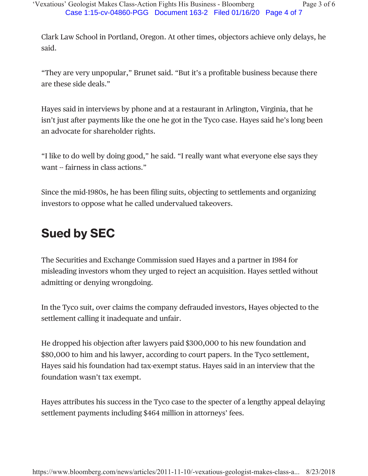Clark Law School in Portland, Oregon. At other times, objectors achieve only delays, he said.

"They are very unpopular," Brunet said. "But it's a profitable business because there are these side deals."

Hayes said in interviews by phone and at a restaurant in Arlington, Virginia, that he isn't just after payments like the one he got in the Tyco case. Hayes said he's long been an advocate for shareholder rights.

"I like to do well by doing good," he said. "I really want what everyone else says they want -- fairness in class actions."

Since the mid-1980s, he has been filing suits, objecting to settlements and organizing investors to oppose what he called undervalued takeovers.

# **Sued by SEC**

The Securities and Exchange Commission sued Hayes and a partner in 1984 for misleading investors whom they urged to reject an acquisition. Hayes settled without admitting or denying wrongdoing.

In the Tyco suit, over claims the company defrauded investors, Hayes objected to the settlement calling it inadequate and unfair.

He dropped his objection after lawyers paid \$300,000 to his new foundation and \$80,000 to him and his lawyer, according to court papers. In the Tyco settlement, Hayes said his foundation had tax-exempt status. Hayes said in an interview that the foundation wasn't tax exempt.

Hayes attributes his success in the Tyco case to the specter of a lengthy appeal delaying settlement payments including \$464 million in attorneys' fees.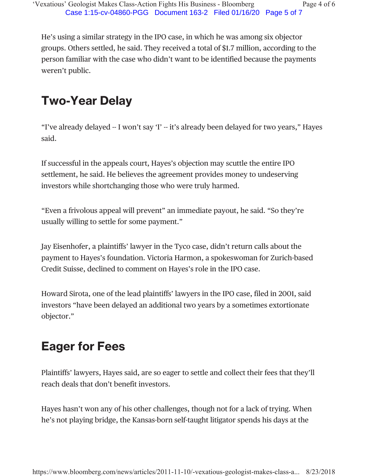He's using a similar strategy in the IPO case, in which he was among six objector groups. Others settled, he said. They received a total of \$1.7 million, according to the person familiar with the case who didn't want to be identified because the payments weren't public.

# **Two-Year Delay**

"I've already delayed -- I won't say 'I' -- it's already been delayed for two years," Hayes said.

If successful in the appeals court, Hayes's objection may scuttle the entire IPO settlement, he said. He believes the agreement provides money to undeserving investors while shortchanging those who were truly harmed.

"Even a frivolous appeal will prevent" an immediate payout, he said. "So they're usually willing to settle for some payment."

Jay Eisenhofer, a plaintiffs' lawyer in the Tyco case, didn't return calls about the payment to Hayes's foundation. Victoria Harmon, a spokeswoman for Zurich-based Credit Suisse, declined to comment on Hayes's role in the IPO case.

Howard Sirota, one of the lead plaintiffs' lawyers in the IPO case, filed in 2001, said investors "have been delayed an additional two years by a sometimes extortionate objector."

# **Eager for Fees**

Plaintiffs' lawyers, Hayes said, are so eager to settle and collect their fees that they'll reach deals that don't benefit investors.

Hayes hasn't won any of his other challenges, though not for a lack of trying. When he's not playing bridge, the Kansas-born self-taught litigator spends his days at the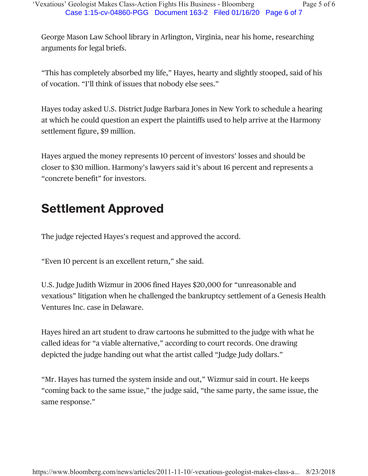George Mason Law School library in Arlington, Virginia, near his home, researching arguments for legal briefs.

"This has completely absorbed my life," Hayes, hearty and slightly stooped, said of his of vocation. "I'll think of issues that nobody else sees."

Hayes today asked U.S. District Judge Barbara Jones in New York to schedule a hearing at which he could question an expert the plaintiffs used to help arrive at the Harmony settlement figure, \$9 million.

Hayes argued the money represents 10 percent of investors' losses and should be closer to \$30 million. Harmony's lawyers said it's about 16 percent and represents a "concrete benefit" for investors.

# **Settlement Approved**

The judge rejected Hayes's request and approved the accord.

"Even 10 percent is an excellent return," she said.

U.S. Judge Judith Wizmur in 2006 fined Hayes \$20,000 for "unreasonable and vexatious" litigation when he challenged the bankruptcy settlement of a Genesis Health Ventures Inc. case in Delaware.

Hayes hired an art student to draw cartoons he submitted to the judge with what he called ideas for "a viable alternative," according to court records. One drawing depicted the judge handing out what the artist called "Judge Judy dollars."

"Mr. Hayes has turned the system inside and out," Wizmur said in court. He keeps "coming back to the same issue," the judge said, "the same party, the same issue, the same response."